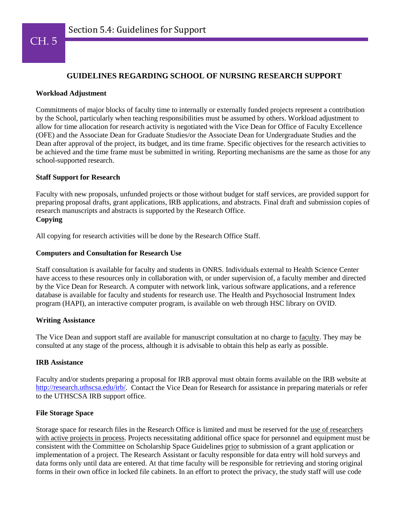

# **GUIDELINES REGARDING SCHOOL OF NURSING RESEARCH SUPPORT**

### **Workload Adjustment**

Commitments of major blocks of faculty time to internally or externally funded projects represent a contribution by the School, particularly when teaching responsibilities must be assumed by others. Workload adjustment to allow for time allocation for research activity is negotiated with the Vice Dean for Office of Faculty Excellence (OFE) and the Associate Dean for Graduate Studies/or the Associate Dean for Undergraduate Studies and the Dean after approval of the project, its budget, and its time frame. Specific objectives for the research activities to be achieved and the time frame must be submitted in writing. Reporting mechanisms are the same as those for any school-supported research.

### **Staff Support for Research**

Faculty with new proposals, unfunded projects or those without budget for staff services, are provided support for preparing proposal drafts, grant applications, IRB applications, and abstracts. Final draft and submission copies of research manuscripts and abstracts is supported by the Research Office. **Copying**

All copying for research activities will be done by the Research Office Staff.

### **Computers and Consultation for Research Use**

Staff consultation is available for faculty and students in ONRS. Individuals external to Health Science Center have access to these resources only in collaboration with, or under supervision of, a faculty member and directed by the Vice Dean for Research. A computer with network link, various software applications, and a reference database is available for faculty and students for research use. The Health and Psychosocial Instrument Index program (HAPI), an interactive computer program, is available on web through HSC library on OVID.

# **Writing Assistance**

The Vice Dean and support staff are available for manuscript consultation at no charge to faculty. They may be consulted at any stage of the process, although it is advisable to obtain this help as early as possible.

#### **IRB Assistance**

Faculty and/or students preparing a proposal for IRB approval must obtain forms available on the IRB website at [http://research.uthscsa.edu/irb/.](http://research.uthscsa.edu/irb/) Contact the Vice Dean for Research for assistance in preparing materials or refer to the UTHSCSA IRB support office.

#### **File Storage Space**

Storage space for research files in the Research Office is limited and must be reserved for the use of researchers with active projects in process. Projects necessitating additional office space for personnel and equipment must be consistent with the Committee on Scholarship Space Guidelines prior to submission of a grant application or implementation of a project. The Research Assistant or faculty responsible for data entry will hold surveys and data forms only until data are entered. At that time faculty will be responsible for retrieving and storing original forms in their own office in locked file cabinets. In an effort to protect the privacy, the study staff will use code